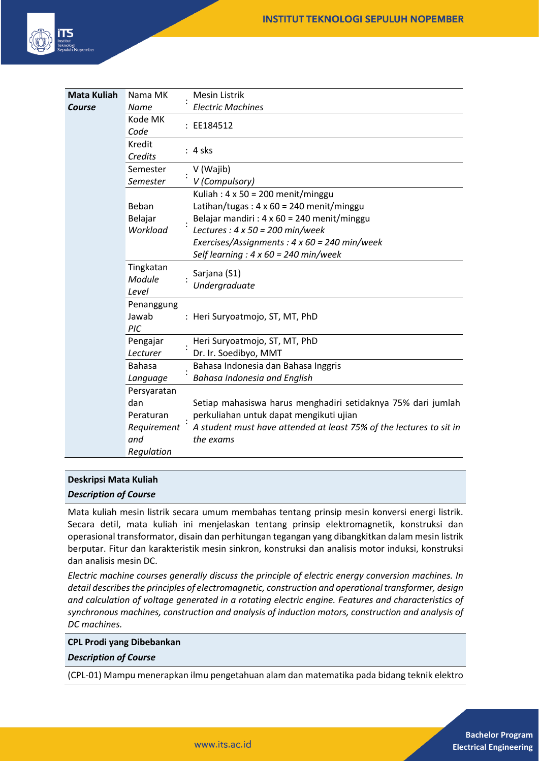

| <b>Mata Kuliah</b> | Nama MK                      |  | Mesin Listrik                                                                    |
|--------------------|------------------------------|--|----------------------------------------------------------------------------------|
| Course             | Name                         |  | <b>Electric Machines</b>                                                         |
|                    | Kode MK<br>Code              |  | : EE184512                                                                       |
|                    | Kredit<br>Credits            |  | $: 4$ sks                                                                        |
|                    | Semester<br>Semester         |  | V (Wajib)<br>V (Compulsory)                                                      |
|                    |                              |  | Kuliah: $4 \times 50 = 200$ menit/minggu                                         |
|                    | Beban                        |  | Latihan/tugas: $4 \times 60 = 240$ menit/minggu                                  |
|                    | Belajar                      |  | Belajar mandiri : $4 \times 60 = 240$ menit/minggu                               |
|                    | Workload                     |  | Lectures : $4 \times 50 = 200$ min/week                                          |
|                    |                              |  | Exercises/Assignments : $4 \times 60 = 240$ min/week                             |
|                    |                              |  | Self learning : $4 \times 60 = 240$ min/week                                     |
|                    | Tingkatan<br>Module<br>Level |  | Sarjana (S1)<br>Undergraduate                                                    |
|                    | Penanggung<br>Jawab<br>PIC   |  | : Heri Suryoatmojo, ST, MT, PhD                                                  |
|                    | Pengajar                     |  | Heri Suryoatmojo, ST, MT, PhD                                                    |
|                    | Lecturer                     |  | Dr. Ir. Soedibyo, MMT                                                            |
|                    | <b>Bahasa</b>                |  | Bahasa Indonesia dan Bahasa Inggris                                              |
|                    | Language                     |  | Bahasa Indonesia and English                                                     |
|                    | Persyaratan                  |  |                                                                                  |
|                    | dan                          |  | Setiap mahasiswa harus menghadiri setidaknya 75% dari jumlah                     |
|                    | Peraturan                    |  | perkuliahan untuk dapat mengikuti ujian                                          |
|                    | Requirement<br>and           |  | A student must have attended at least 75% of the lectures to sit in<br>the exams |
|                    | Regulation                   |  |                                                                                  |

#### **Deskripsi Mata Kuliah**

*Description of Course*

Mata kuliah mesin listrik secara umum membahas tentang prinsip mesin konversi energi listrik. Secara detil, mata kuliah ini menjelaskan tentang prinsip elektromagnetik, konstruksi dan operasional transformator, disain dan perhitungan tegangan yang dibangkitkan dalam mesin listrik berputar. Fitur dan karakteristik mesin sinkron, konstruksi dan analisis motor induksi, konstruksi dan analisis mesin DC.

*Electric machine courses generally discuss the principle of electric energy conversion machines. In detail describes the principles of electromagnetic, construction and operational transformer, design and calculation of voltage generated in a rotating electric engine. Features and characteristics of synchronous machines, construction and analysis of induction motors, construction and analysis of DC machines.*

#### **CPL Prodi yang Dibebankan**

*Description of Course*

(CPL-01) Mampu menerapkan ilmu pengetahuan alam dan matematika pada bidang teknik elektro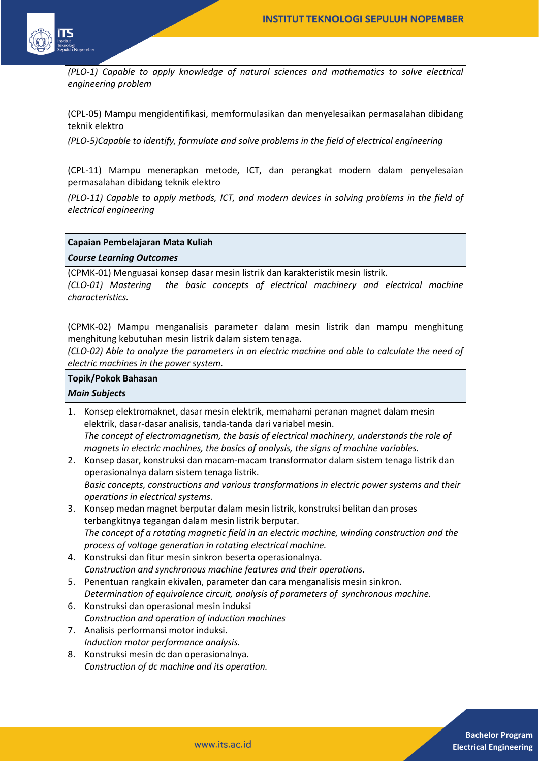

*(PLO-1) Capable to apply knowledge of natural sciences and mathematics to solve electrical engineering problem* 

(CPL-05) Mampu mengidentifikasi, memformulasikan dan menyelesaikan permasalahan dibidang teknik elektro

*(PLO-5)Capable to identify, formulate and solve problems in the field of electrical engineering* 

(CPL-11) Mampu menerapkan metode, ICT, dan perangkat modern dalam penyelesaian permasalahan dibidang teknik elektro

*(PLO-11) Capable to apply methods, ICT, and modern devices in solving problems in the field of electrical engineering*

#### **Capaian Pembelajaran Mata Kuliah**

*Course Learning Outcomes*

(CPMK-01) Menguasai konsep dasar mesin listrik dan karakteristik mesin listrik.

*(CLO-01) Mastering the basic concepts of electrical machinery and electrical machine characteristics.*

(CPMK-02) Mampu menganalisis parameter dalam mesin listrik dan mampu menghitung menghitung kebutuhan mesin listrik dalam sistem tenaga.

*(CLO-02) Able to analyze the parameters in an electric machine and able to calculate the need of electric machines in the power system.*

# **Topik/Pokok Bahasan**

## *Main Subjects*

- 1. Konsep elektromaknet, dasar mesin elektrik, memahami peranan magnet dalam mesin elektrik, dasar-dasar analisis, tanda-tanda dari variabel mesin. *The concept of electromagnetism, the basis of electrical machinery, understands the role of magnets in electric machines, the basics of analysis, the signs of machine variables.*
- 2. Konsep dasar, konstruksi dan macam-macam transformator dalam sistem tenaga listrik dan operasionalnya dalam sistem tenaga listrik. *Basic concepts, constructions and various transformations in electric power systems and their operations in electrical systems.*
- 3. Konsep medan magnet berputar dalam mesin listrik, konstruksi belitan dan proses terbangkitnya tegangan dalam mesin listrik berputar. *The concept of a rotating magnetic field in an electric machine, winding construction and the process of voltage generation in rotating electrical machine.*
- 4. Konstruksi dan fitur mesin sinkron beserta operasionalnya. *Construction and synchronous machine features and their operations.*
- 5. Penentuan rangkain ekivalen, parameter dan cara menganalisis mesin sinkron. *Determination of equivalence circuit, analysis of parameters of synchronous machine.*
- 6. Konstruksi dan operasional mesin induksi *Construction and operation of induction machines*
- 7. Analisis performansi motor induksi. *Induction motor performance analysis.*
- 8. Konstruksi mesin dc dan operasionalnya. *Construction of dc machine and its operation.*